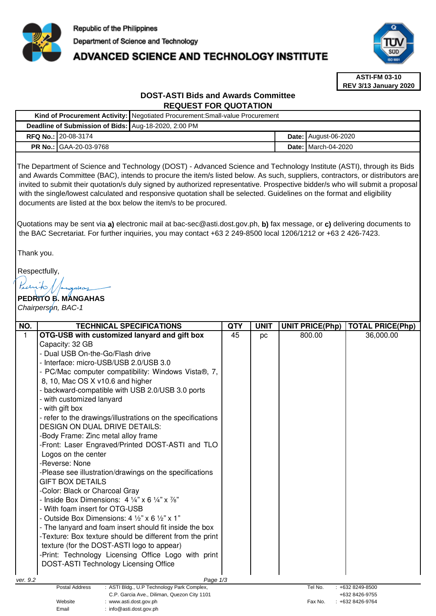

# **ADVANCED SCIENCE AND TECHNOLOGY INSTITUTE**



**ASTI-FM 03-10 REV 3/13 January 2020**

# **DOST-ASTI Bids and Awards Committee REQUEST FOR QUOTATION**

|                                                      |                               | Kind of Procurement Activity:   Negotiated Procurement: Small-value Procurement |  |                               |  |  |
|------------------------------------------------------|-------------------------------|---------------------------------------------------------------------------------|--|-------------------------------|--|--|
| Deadline of Submission of Bids: Aug-18-2020, 2:00 PM |                               |                                                                                 |  |                               |  |  |
|                                                      | <b>RFQ No.: 20-08-3174</b>    |                                                                                 |  | <b>Date:   August-06-2020</b> |  |  |
|                                                      | <b>PR No.: GAA-20-03-9768</b> |                                                                                 |  | <b>Date: I</b> March-04-2020  |  |  |

The Department of Science and Technology (DOST) - Advanced Science and Technology Institute (ASTI), through its Bids and Awards Committee (BAC), intends to procure the item/s listed below. As such, suppliers, contractors, or distributors are invited to submit their quotation/s duly signed by authorized representative. Prospective bidder/s who will submit a proposal with the single/lowest calculated and responsive quotation shall be selected. Guidelines on the format and eligibility documents are listed at the box below the item/s to be procured.

Quotations may be sent via **a)** electronic mail at bac-sec@asti.dost.gov.ph, **b)** fax message, or **c)** delivering documents to the BAC Secretariat. For further inquiries, you may contact +63 2 249-8500 local 1206/1212 or +63 2 426-7423.

Thank you.

Respectfully,

Kurito  $diam$ 

**PEDRITO B. MANGAHAS**  Chairperson, BAC-1

Email : info@asti.dost.gov.ph

| NO.                                                                                                                  | <b>TECHNICAL SPECIFICATIONS</b>                                             | <b>QTY</b> | <b>UNIT</b> | <b>UNIT PRICE(Php)</b> | <b>TOTAL PRICE(Php)</b> |
|----------------------------------------------------------------------------------------------------------------------|-----------------------------------------------------------------------------|------------|-------------|------------------------|-------------------------|
| $\mathbf{1}$                                                                                                         | OTG-USB with customized lanyard and gift box                                | 45         | pc          | 800.00                 | 36,000.00               |
|                                                                                                                      | Capacity: 32 GB                                                             |            |             |                        |                         |
|                                                                                                                      | - Dual USB On-the-Go/Flash drive                                            |            |             |                        |                         |
|                                                                                                                      | - Interface: micro-USB/USB 2.0/USB 3.0                                      |            |             |                        |                         |
|                                                                                                                      | - PC/Mac computer compatibility: Windows Vista®, 7,                         |            |             |                        |                         |
|                                                                                                                      | 8, 10, Mac OS X v10.6 and higher                                            |            |             |                        |                         |
|                                                                                                                      | - backward-compatible with USB 2.0/USB 3.0 ports                            |            |             |                        |                         |
|                                                                                                                      | - with customized lanyard                                                   |            |             |                        |                         |
|                                                                                                                      | - with gift box                                                             |            |             |                        |                         |
|                                                                                                                      | - refer to the drawings/illustrations on the specifications                 |            |             |                        |                         |
|                                                                                                                      | <b>DESIGN ON DUAL DRIVE DETAILS:</b>                                        |            |             |                        |                         |
|                                                                                                                      | -Body Frame: Zinc metal alloy frame                                         |            |             |                        |                         |
|                                                                                                                      | -Front: Laser Engraved/Printed DOST-ASTI and TLO                            |            |             |                        |                         |
|                                                                                                                      | Logos on the center                                                         |            |             |                        |                         |
|                                                                                                                      | -Reverse: None                                                              |            |             |                        |                         |
|                                                                                                                      | -Please see illustration/drawings on the specifications                     |            |             |                        |                         |
|                                                                                                                      | <b>GIFT BOX DETAILS</b>                                                     |            |             |                        |                         |
|                                                                                                                      | -Color: Black or Charcoal Gray                                              |            |             |                        |                         |
|                                                                                                                      | - Inside Box Dimensions: $4\frac{1}{4}$ x 6 $\frac{1}{4}$ x $\frac{7}{8}$ " |            |             |                        |                         |
|                                                                                                                      | - With foam insert for OTG-USB                                              |            |             |                        |                         |
|                                                                                                                      | - Outside Box Dimensions: 4 $\frac{1}{2}$ " x 6 $\frac{1}{2}$ " x 1"        |            |             |                        |                         |
|                                                                                                                      | - The lanyard and foam insert should fit inside the box                     |            |             |                        |                         |
|                                                                                                                      | -Texture: Box texture should be different from the print                    |            |             |                        |                         |
|                                                                                                                      | texture (for the DOST-ASTI logo to appear)                                  |            |             |                        |                         |
|                                                                                                                      | -Print: Technology Licensing Office Logo with print                         |            |             |                        |                         |
|                                                                                                                      | <b>DOST-ASTI Technology Licensing Office</b>                                |            |             |                        |                         |
|                                                                                                                      |                                                                             |            |             |                        |                         |
| Page 1/3<br>ver. 9.2<br>Postal Address<br>: ASTI Bldg., U.P Technology Park Complex,<br>Tel No.<br>$: +6328249-8500$ |                                                                             |            |             |                        |                         |
| C.P. Garcia Ave., Diliman, Quezon City 1101                                                                          |                                                                             |            |             |                        | +632 8426-9755          |
| Website<br>: www.asti.dost.gov.ph                                                                                    |                                                                             |            |             | Fax No.                | +632 8426-9764          |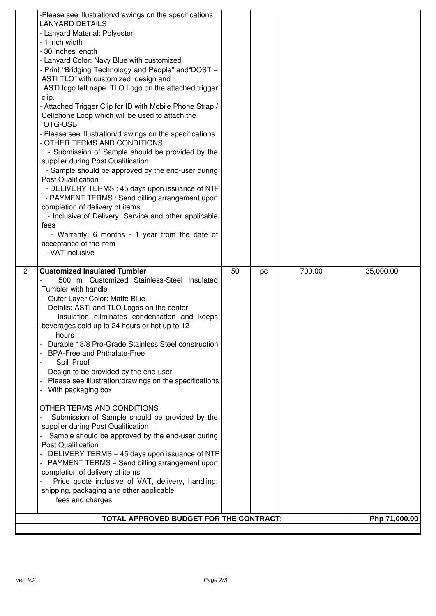|   | -Please see illustration/drawings on the specifications<br><b>LANYARD DETAILS</b><br>- Lanyard Material: Polyester<br>- 1 inch width<br>- 30 inches length<br>- Lanyard Color: Navy Blue with customized<br>- Print "Bridging Technology and People" and "DOST -<br>ASTI TLO" with customized design and<br>ASTI logo left nape. TLO Logo on the attached trigger<br>clip.<br>- Attached Trigger Clip for ID with Mobile Phone Strap /<br>Cellphone Loop which will be used to attach the<br>OTG-USB<br>- Please see illustration/drawings on the specifications<br>- OTHER TERMS AND CONDITIONS<br>- Submission of Sample should be provided by the<br>supplier during Post Qualification<br>- Sample should be approved by the end-user during<br><b>Post Qualification</b><br>- DELIVERY TERMS : 45 days upon issuance of NTP<br>- PAYMENT TERMS : Send billing arrangement upon<br>completion of delivery of items<br>- Inclusive of Delivery, Service and other applicable<br>fees<br>- Warranty: 6 months - 1 year from the date of<br>acceptance of the item<br>- VAT inclusive |    |    |        |               |
|---|----------------------------------------------------------------------------------------------------------------------------------------------------------------------------------------------------------------------------------------------------------------------------------------------------------------------------------------------------------------------------------------------------------------------------------------------------------------------------------------------------------------------------------------------------------------------------------------------------------------------------------------------------------------------------------------------------------------------------------------------------------------------------------------------------------------------------------------------------------------------------------------------------------------------------------------------------------------------------------------------------------------------------------------------------------------------------------------|----|----|--------|---------------|
| 2 | <b>Customized Insulated Tumbler</b><br>500 ml Customized Stainless-Steel Insulated<br>Tumbler with handle<br>Outer Layer Color: Matte Blue<br>Details: ASTI and TLO Logos on the center<br>Insulation eliminates condensation and keeps<br>beverages cold up to 24 hours or hot up to 12<br>hours<br>Durable 18/8 Pro-Grade Stainless Steel construction<br><b>BPA-Free and Phthalate-Free</b><br>Spill Proof<br>Design to be provided by the end-user<br>Please see illustration/drawings on the specifications<br>With packaging box<br>OTHER TERMS AND CONDITIONS<br>Submission of Sample should be provided by the<br>supplier during Post Qualification                                                                                                                                                                                                                                                                                                                                                                                                                           | 50 | pc | 700.00 | 35,000.00     |
|   | Sample should be approved by the end-user during<br><b>Post Qualification</b><br>DELIVERY TERMS - 45 days upon issuance of NTP<br>PAYMENT TERMS - Send billing arrangement upon<br>completion of delivery of items<br>Price quote inclusive of VAT, delivery, handling,<br>shipping, packaging and other applicable<br>fees and charges<br>TOTAL APPROVED BUDGET FOR THE CONTRACT:                                                                                                                                                                                                                                                                                                                                                                                                                                                                                                                                                                                                                                                                                                     |    |    |        | Php 71,000.00 |